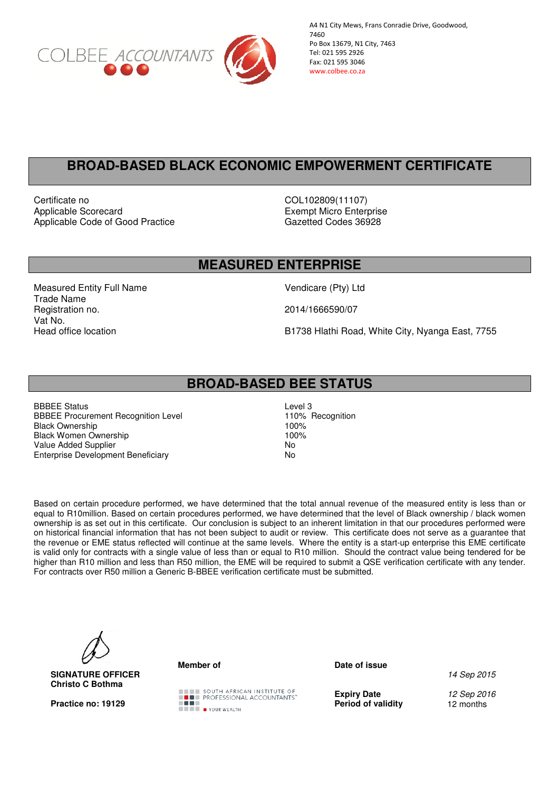

A4 N1 City Mews, Frans Conradie Drive, Goodwood, 7460 Po Box 13679, N1 City, 7463 Tel: 021 595 2926 Fax: 021 595 3046 www.colbee.co.za

# **BROAD-BASED BLACK ECONOMIC EMPOWERMENT CERTIFICATE**

Certificate no COL102809(11107) Applicable Scorecard<br>
Applicable Code of Good Practice<br>
Applicable Code of Good Practice<br>
Cazetted Codes 36928 Applicable Code of Good Practice

### **MEASURED ENTERPRISE**

Measured Entity Full Name Vendicare (Pty) Ltd Trade Name Registration no. 2014/1666590/07 Vat No.<br>Head office location

B1738 Hlathi Road, White City, Nyanga East, 7755

## **BROAD-BASED BEE STATUS**

BBBEE Status<br>
BBBEE Procurement Recognition Level<br>
110% Recognition BBBEE Procurement Recognition Level<br>Black Ownership 100% **Black Ownership** Black Women Ownership 100% Value Added Supplier<br>Enterprise Development Beneficiary Motor No Enterprise Development Beneficiary

Based on certain procedure performed, we have determined that the total annual revenue of the measured entity is less than or equal to R10million. Based on certain procedures performed, we have determined that the level of Black ownership / black women ownership is as set out in this certificate. Our conclusion is subject to an inherent limitation in that our procedures performed were on historical financial information that has not been subject to audit or review. This certificate does not serve as a guarantee that the revenue or EME status reflected will continue at the same levels. Where the entity is a start-up enterprise this EME certificate is valid only for contracts with a single value of less than or equal to R10 million. Should the contract value being tendered for be higher than R10 million and less than R50 million, the EME will be required to submit a QSE verification certificate with any tender. For contracts over R50 million a Generic B-BBEE verification certificate must be submitted.



**SIGNATURE OFFICER Christo C Bothma**



**Member of Contract Contract Contract Date of issue** 

14 Sep 2015

**Expiry Date 12 Sep 2016**<br>**Period of validity 12 months**